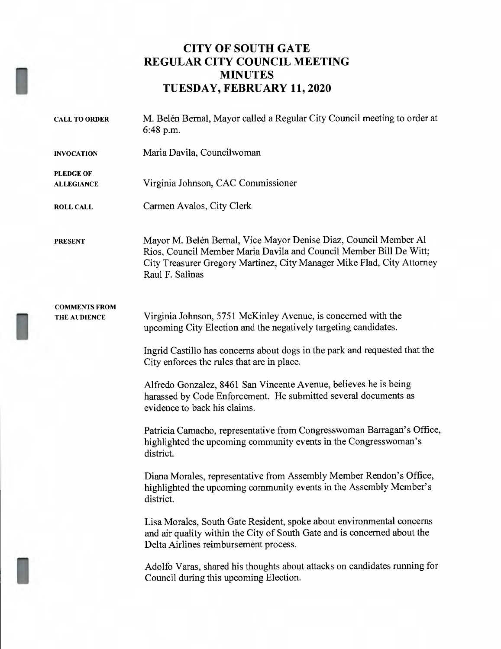## CITY OF SOUTH GATE REGULAR CITY COUNCIL MEETING MINUTES TUESDAY, FEBRUARY 11, 2020

| <b>CALL TO ORDER</b>                  | M. Belén Bernal, Mayor called a Regular City Council meeting to order at<br>$6:48$ p.m.                                                                                                                                             |
|---------------------------------------|-------------------------------------------------------------------------------------------------------------------------------------------------------------------------------------------------------------------------------------|
| <b>INVOCATION</b>                     | Maria Davila, Councilwoman                                                                                                                                                                                                          |
| <b>PLEDGE OF</b><br><b>ALLEGIANCE</b> | Virginia Johnson, CAC Commissioner                                                                                                                                                                                                  |
| <b>ROLL CALL</b>                      | Carmen Avalos, City Clerk                                                                                                                                                                                                           |
| <b>PRESENT</b>                        | Mayor M. Belén Bernal, Vice Mayor Denise Diaz, Council Member Al<br>Rios, Council Member Maria Davila and Council Member Bill De Witt;<br>City Treasurer Gregory Martinez, City Manager Mike Flad, City Attorney<br>Raul F. Salinas |
| <b>COMMENTS FROM</b><br>THE AUDIENCE  | Virginia Johnson, 5751 McKinley Avenue, is concerned with the<br>upcoming City Election and the negatively targeting candidates.                                                                                                    |
|                                       | Ingrid Castillo has concerns about dogs in the park and requested that the<br>City enforces the rules that are in place.                                                                                                            |
|                                       | Alfredo Gonzalez, 8461 San Vincente Avenue, believes he is being<br>harassed by Code Enforcement. He submitted several documents as<br>evidence to back his claims.                                                                 |
|                                       | Patricia Camacho, representative from Congresswoman Barragan's Office,<br>highlighted the upcoming community events in the Congresswoman's<br>district.                                                                             |
|                                       | Diana Morales, representative from Assembly Member Rendon's Office,<br>highlighted the upcoming community events in the Assembly Member's<br>district.                                                                              |
|                                       | Lisa Morales, South Gate Resident, spoke about environmental concerns<br>and air quality within the City of South Gate and is concerned about the<br>Delta Airlines reimbursement process.                                          |
|                                       | Adolfo Varas, shared his thoughts about attacks on candidates running for<br>Council during this upcoming Election.                                                                                                                 |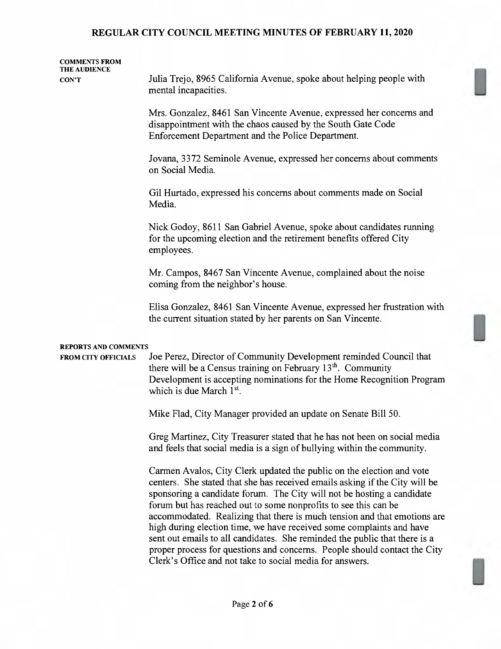| <b>COMMENTS FROM</b>                               |                                                                                                                                                                                                                                                                                                                                                                         |
|----------------------------------------------------|-------------------------------------------------------------------------------------------------------------------------------------------------------------------------------------------------------------------------------------------------------------------------------------------------------------------------------------------------------------------------|
| THE AUDIENCE<br><b>CON'T</b>                       | Julia Trejo, 8965 California Avenue, spoke about helping people with<br>mental incapacities.                                                                                                                                                                                                                                                                            |
|                                                    | Mrs. Gonzalez, 8461 San Vincente Avenue, expressed her concerns and<br>disappointment with the chaos caused by the South Gate Code<br>Enforcement Department and the Police Department.                                                                                                                                                                                 |
|                                                    | Jovana, 3372 Seminole Avenue, expressed her concerns about comments<br>on Social Media.                                                                                                                                                                                                                                                                                 |
|                                                    | Gil Hurtado, expressed his concerns about comments made on Social<br>Media.                                                                                                                                                                                                                                                                                             |
|                                                    | Nick Godoy, 8611 San Gabriel Avenue, spoke about candidates running<br>for the upcoming election and the retirement benefits offered City<br>employees.                                                                                                                                                                                                                 |
|                                                    | Mr. Campos, 8467 San Vincente Avenue, complained about the noise<br>coming from the neighbor's house.                                                                                                                                                                                                                                                                   |
|                                                    | Elisa Gonzalez, 8461 San Vincente Avenue, expressed her frustration with<br>the current situation stated by her parents on San Vincente.                                                                                                                                                                                                                                |
| REPORTS AND COMMENTS<br><b>FROM CITY OFFICIALS</b> | Joe Perez, Director of Community Development reminded Council that<br>there will be a Census training on February 13 <sup>th</sup> . Community<br>Development is accepting nominations for the Home Recognition Program                                                                                                                                                 |
|                                                    | which is due March 1 <sup>st</sup> .<br>Mike Flad, City Manager provided an update on Senate Bill 50.                                                                                                                                                                                                                                                                   |
|                                                    | Greg Martinez, City Treasurer stated that he has not been on social media<br>and feels that social media is a sign of bullying within the community.                                                                                                                                                                                                                    |
|                                                    | Carmen Avalos, City Clerk updated the public on the election and vote<br>centers. She stated that she has received emails asking if the City will be<br>sponsoring a candidate forum. The City will not be hosting a candidate<br>forum but has reached out to some nonprofits to see this can be                                                                       |
|                                                    | accommodated. Realizing that there is much tension and that emotions are<br>high during election time, we have received some complaints and have<br>sent out emails to all candidates. She reminded the public that there is a<br>proper process for questions and concerns. People should contact the City<br>Clerk's Office and not take to social media for answers. |

ll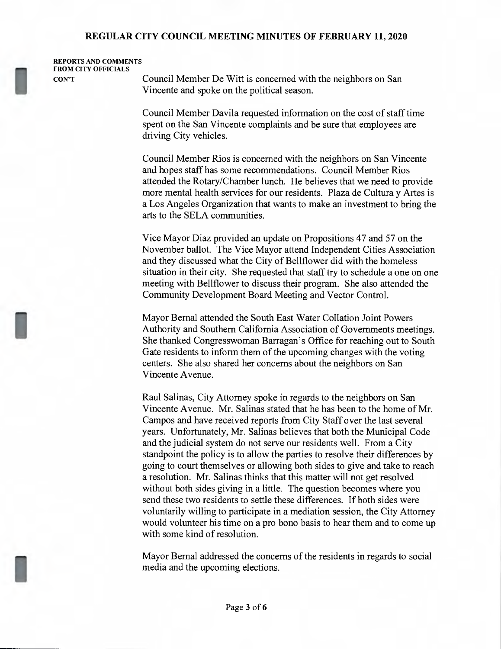| <b>REPORTS AND COMMENTS</b> |              |
|-----------------------------|--------------|
| <b>FROM CITY OFFICIALS</b>  |              |
| CON'T                       | $C_{\Omega}$ |

[1

CON'T Council Member De Witt is concerned with the neighbors on San Vincente and spoke on the political season.

> Council Member Davila requested information on the cost of staff time spent on the San Vincente complaints and be sure that employees are driving City vehicles.

Council Member Rios is concerned with the neighbors on San Vincente and hopes staff has some recommendations. Council Member Rios attended the Rotary/Chamber lunch. He believes that we need to provide more mental health services for our residents. Plaza de Cultura y Artes is <sup>a</sup> Los Angeles Organization that wants to make an investment to bring the arts to the SELA communities.

Vice Mayor Diaz provided an update on Propositions 47 and 57 on the November ballot. The Vice Mayor attend Independent Cities Association and they discussed what the City of Bellflower did with the homeless situation in their city. She requested that staff try to schedule <sup>a</sup> one on one meeting with Bellflower to discuss their program. She also attended the Community Development Board Meeting and Vector Control.

Mayor Bernal attended the South East Water Collation Joint Powers Authority and Southern California Association of Governments meetings. She thanked Congresswoman Barragan's Office for reaching out to South Gate residents to inform them of the upcoming changes with the voting centers. She also shared her concerns about the neighbors on San Vincente Avenue.

Raul Salinas, City Attorney spoke in regards to the neighbors on San Vincente Avenue. Mr. Salinas stated that he has been to the home of Mr. Campos and have received reports from City Staff over the last several years. Unfortunately, Mr. Salinas believes that both the Municipal Code and the judicial system do not serve our residents well. From a City standpoint the policy is to allow the parties to resolve their differences by going to court themselves or allowing both sides to give and take to reach <sup>a</sup> resolution. Mr. Salinas thinks that this matter will not get resolved without both sides giving in <sup>a</sup> little. The question becomes where you send these two residents to settle these differences. If both sides were voluntarily willing to participate in <sup>a</sup> mediation session, the City Attorney would volunteer his time on <sup>a</sup> pro bono basis to hear them and to come up with some kind of resolution.

Mayor Bernal addressed the concerns of the residents in regards to social media and the upcoming elections.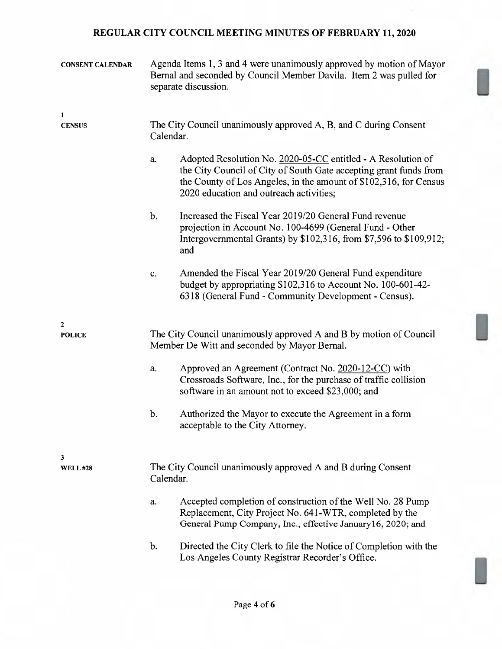| <b>CONSENT CALENDAR</b>       | Agenda Items 1, 3 and 4 were unanimously approved by motion of Mayor<br>Bernal and seconded by Council Member Davila. Item 2 was pulled for<br>separate discussion.                                                                                     |
|-------------------------------|---------------------------------------------------------------------------------------------------------------------------------------------------------------------------------------------------------------------------------------------------------|
| $\mathbf{1}$<br><b>CENSUS</b> | The City Council unanimously approved A, B, and C during Consent<br>Calendar.                                                                                                                                                                           |
|                               | Adopted Resolution No. 2020-05-CC entitled - A Resolution of<br>a.<br>the City Council of City of South Gate accepting grant funds from<br>the County of Los Angeles, in the amount of \$102,316, for Census<br>2020 education and outreach activities; |
|                               | Increased the Fiscal Year 2019/20 General Fund revenue<br>$\mathbf b$ .<br>projection in Account No. 100-4699 (General Fund - Other<br>Intergovernmental Grants) by \$102,316, from \$7,596 to \$109,912;<br>and                                        |
|                               | Amended the Fiscal Year 2019/20 General Fund expenditure<br>c.<br>budget by appropriating \$102,316 to Account No. 100-601-42-<br>6318 (General Fund - Community Development - Census).                                                                 |
| $\mathbf{2}$<br><b>POLICE</b> | The City Council unanimously approved A and B by motion of Council<br>Member De Witt and seconded by Mayor Bernal.                                                                                                                                      |
|                               | Approved an Agreement (Contract No. 2020-12-CC) with<br>a.<br>Crossroads Software, Inc., for the purchase of traffic collision<br>software in an amount not to exceed \$23,000; and                                                                     |
|                               | b.<br>Authorized the Mayor to execute the Agreement in a form<br>acceptable to the City Attorney.                                                                                                                                                       |
| 3<br><b>WELL#28</b>           | The City Council unanimously approved A and B during Consent<br>Calendar.                                                                                                                                                                               |
|                               | Accepted completion of construction of the Well No. 28 Pump<br>a.<br>Replacement, City Project No. 641-WTR, completed by the<br>General Pump Company, Inc., effective January 16, 2020; and                                                             |
|                               | Directed the City Clerk to file the Notice of Completion with the<br>b.<br>Los Angeles County Registrar Recorder's Office.                                                                                                                              |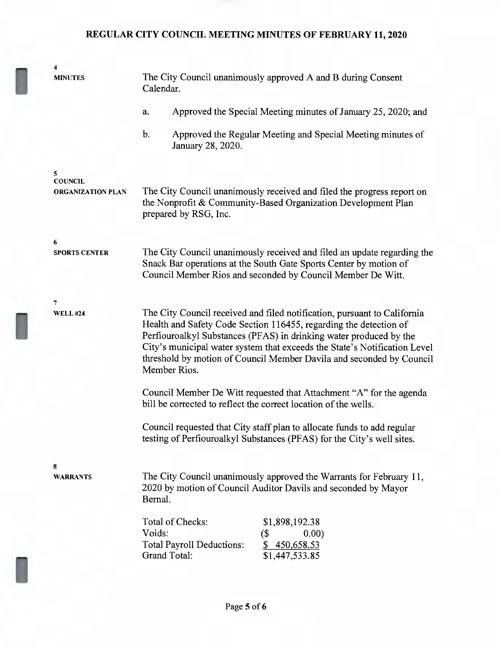| 4<br><b>MINUTES</b>                             | The City Council unanimously approved A and B during Consent<br>Calendar.                                                                                                                                                                                                                                                                                                                |  |
|-------------------------------------------------|------------------------------------------------------------------------------------------------------------------------------------------------------------------------------------------------------------------------------------------------------------------------------------------------------------------------------------------------------------------------------------------|--|
|                                                 | Approved the Special Meeting minutes of January 25, 2020; and<br>a.                                                                                                                                                                                                                                                                                                                      |  |
|                                                 | Approved the Regular Meeting and Special Meeting minutes of<br>b.<br>January 28, 2020.                                                                                                                                                                                                                                                                                                   |  |
| 5<br><b>COUNCIL</b><br><b>ORGANIZATION PLAN</b> | The City Council unanimously received and filed the progress report on<br>the Nonprofit & Community-Based Organization Development Plan<br>prepared by RSG, Inc.                                                                                                                                                                                                                         |  |
| 6<br><b>SPORTS CENTER</b>                       | The City Council unanimously received and filed an update regarding the<br>Snack Bar operations at the South Gate Sports Center by motion of<br>Council Member Rios and seconded by Council Member De Witt.                                                                                                                                                                              |  |
| 7<br><b>WELL #24</b>                            | The City Council received and filed notification, pursuant to California<br>Health and Safety Code Section 116455, regarding the detection of<br>Perfiouroalkyl Substances (PFAS) in drinking water produced by the<br>City's municipal water system that exceeds the State's Notification Level<br>threshold by motion of Council Member Davila and seconded by Council<br>Member Rios. |  |
|                                                 | Council Member De Witt requested that Attachment "A" for the agenda<br>bill be corrected to reflect the correct location of the wells.                                                                                                                                                                                                                                                   |  |
|                                                 | Council requested that City staff plan to allocate funds to add regular<br>testing of Perfiouroalkyl Substances (PFAS) for the City's well sites.                                                                                                                                                                                                                                        |  |
| 8<br><b>WARRANTS</b>                            | The City Council unanimously approved the Warrants for February 11,<br>2020 by motion of Council Auditor Davils and seconded by Mayor<br>Bernal.                                                                                                                                                                                                                                         |  |
|                                                 | Total of Checks:<br>\$1,898,192.38<br>Voids:<br>$($ \$<br>0.00)<br><b>Total Payroll Deductions:</b><br>\$450,658.53<br><b>Grand Total:</b><br>\$1,447,533.85                                                                                                                                                                                                                             |  |